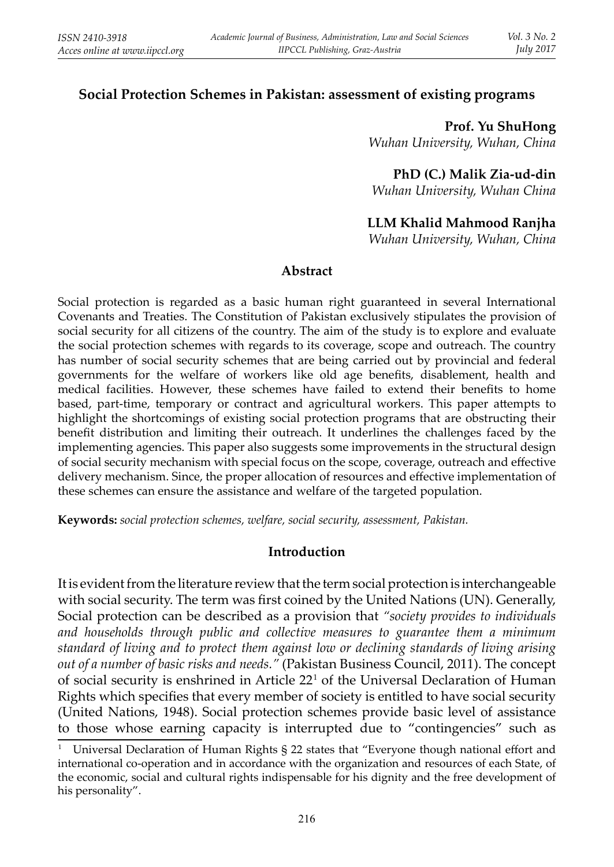## **Social Protection Schemes in Pakistan: assessment of existing programs**

**Prof. Yu ShuHong**  *Wuhan University, Wuhan, China*

**PhD (C.) Malik Zia-ud-din** *Wuhan University, Wuhan China*

### **LLM Khalid Mahmood Ranjha**

*Wuhan University, Wuhan, China*

#### **Abstract**

Social protection is regarded as a basic human right guaranteed in several International Covenants and Treaties. The Constitution of Pakistan exclusively stipulates the provision of social security for all citizens of the country. The aim of the study is to explore and evaluate the social protection schemes with regards to its coverage, scope and outreach. The country has number of social security schemes that are being carried out by provincial and federal governments for the welfare of workers like old age benefits, disablement, health and medical facilities. However, these schemes have failed to extend their benefits to home based, part-time, temporary or contract and agricultural workers. This paper attempts to highlight the shortcomings of existing social protection programs that are obstructing their benefit distribution and limiting their outreach. It underlines the challenges faced by the implementing agencies. This paper also suggests some improvements in the structural design of social security mechanism with special focus on the scope, coverage, outreach and effective delivery mechanism. Since, the proper allocation of resources and effective implementation of these schemes can ensure the assistance and welfare of the targeted population.

**Keywords:** *social protection schemes, welfare, social security, assessment, Pakistan.*

### **Introduction**

It is evident from the literature review that the term social protection is interchangeable with social security. The term was first coined by the United Nations (UN). Generally, Social protection can be described as a provision that *"society provides to individuals and households through public and collective measures to guarantee them a minimum standard of living and to protect them against low or declining standards of living arising out of a number of basic risks and needs."* (Pakistan Business Council, 2011). The concept of social security is enshrined in Article 221 of the Universal Declaration of Human Rights which specifies that every member of society is entitled to have social security (United Nations, 1948). Social protection schemes provide basic level of assistance to those whose earning capacity is interrupted due to "contingencies" such as

<sup>1</sup> Universal Declaration of Human Rights § 22 states that "Everyone though national effort and international co-operation and in accordance with the organization and resources of each State, of the economic, social and cultural rights indispensable for his dignity and the free development of his personality".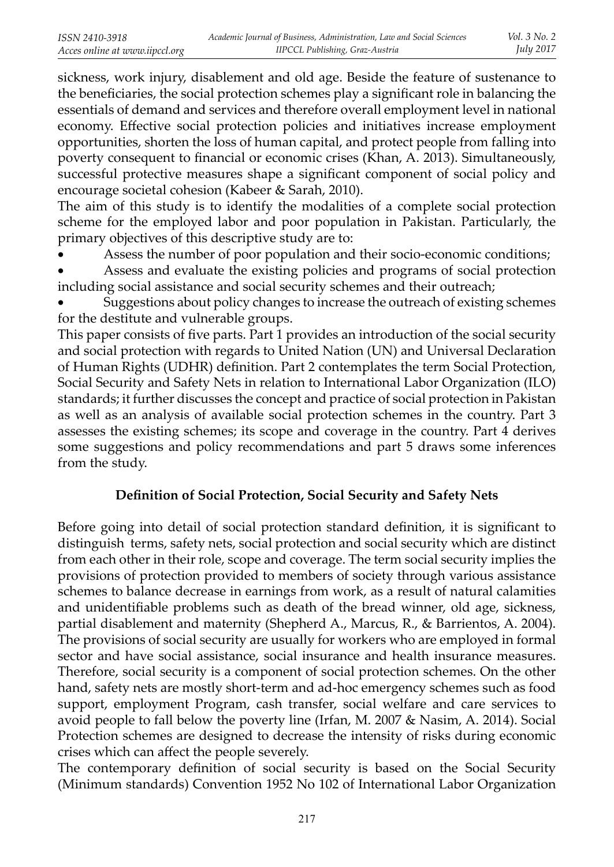sickness, work injury, disablement and old age. Beside the feature of sustenance to the beneficiaries, the social protection schemes play a significant role in balancing the essentials of demand and services and therefore overall employment level in national economy. Effective social protection policies and initiatives increase employment opportunities, shorten the loss of human capital, and protect people from falling into poverty consequent to financial or economic crises (Khan, A. 2013). Simultaneously, successful protective measures shape a significant component of social policy and encourage societal cohesion (Kabeer & Sarah, 2010).

The aim of this study is to identify the modalities of a complete social protection scheme for the employed labor and poor population in Pakistan. Particularly, the primary objectives of this descriptive study are to:

• Assess the number of poor population and their socio-economic conditions;

Assess and evaluate the existing policies and programs of social protection including social assistance and social security schemes and their outreach;

• Suggestions about policy changes to increase the outreach of existing schemes for the destitute and vulnerable groups.

This paper consists of five parts. Part 1 provides an introduction of the social security and social protection with regards to United Nation (UN) and Universal Declaration of Human Rights (UDHR) definition. Part 2 contemplates the term Social Protection, Social Security and Safety Nets in relation to International Labor Organization (ILO) standards; it further discusses the concept and practice of social protection in Pakistan as well as an analysis of available social protection schemes in the country. Part 3 assesses the existing schemes; its scope and coverage in the country. Part 4 derives some suggestions and policy recommendations and part 5 draws some inferences from the study.

## **Definition of Social Protection, Social Security and Safety Nets**

Before going into detail of social protection standard definition, it is significant to distinguish terms, safety nets, social protection and social security which are distinct from each other in their role, scope and coverage. The term social security implies the provisions of protection provided to members of society through various assistance schemes to balance decrease in earnings from work, as a result of natural calamities and unidentifiable problems such as death of the bread winner, old age, sickness, partial disablement and maternity (Shepherd A., Marcus, R., & Barrientos, A. 2004). The provisions of social security are usually for workers who are employed in formal sector and have social assistance, social insurance and health insurance measures. Therefore, social security is a component of social protection schemes. On the other hand, safety nets are mostly short-term and ad-hoc emergency schemes such as food support, employment Program, cash transfer, social welfare and care services to avoid people to fall below the poverty line (Irfan, M. 2007 & Nasim, A. 2014). Social Protection schemes are designed to decrease the intensity of risks during economic crises which can affect the people severely.

The contemporary definition of social security is based on the Social Security (Minimum standards) Convention 1952 No 102 of International Labor Organization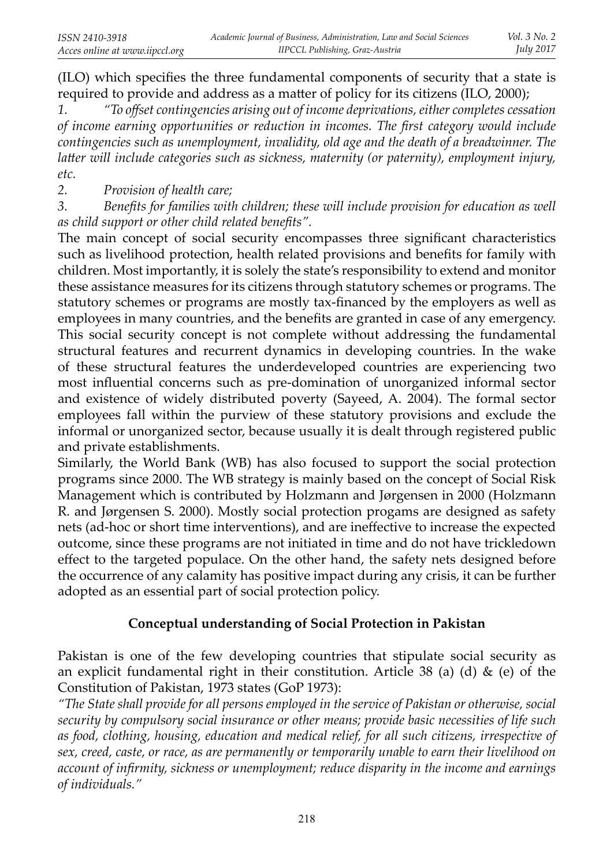(ILO) which specifies the three fundamental components of security that a state is required to provide and address as a matter of policy for its citizens (ILO, 2000);

*1. "To off set contingencies arising out of income deprivations, either completes cessation of income earning opportunities or reduction in incomes. The first category would include contingencies such as unemployment, invalidity, old age and the death of a breadwinner. The latter will include categories such as sickness, maternity (or paternity), employment injury, etc.*

*2. Provision of health care;*

3. Benefits for families with children; these will include provision for education as well *as child support or other child related benefits".* 

The main concept of social security encompasses three significant characteristics such as livelihood protection, health related provisions and benefits for family with children. Most importantly, it is solely the state's responsibility to extend and monitor these assistance measures for its citizens through statutory schemes or programs. The statutory schemes or programs are mostly tax-financed by the employers as well as employees in many countries, and the benefits are granted in case of any emergency. This social security concept is not complete without addressing the fundamental structural features and recurrent dynamics in developing countries. In the wake of these structural features the underdeveloped countries are experiencing two most influential concerns such as pre-domination of unorganized informal sector and existence of widely distributed poverty (Sayeed, A. 2004). The formal sector employees fall within the purview of these statutory provisions and exclude the informal or unorganized sector, because usually it is dealt through registered public and private establishments.

Similarly, the World Bank (WB) has also focused to support the social protection programs since 2000. The WB strategy is mainly based on the concept of Social Risk Management which is contributed by Holzmann and Jørgensen in 2000 (Holzmann R. and Jørgensen S. 2000). Mostly social protection progams are designed as safety nets (ad-hoc or short time interventions), and are ineffective to increase the expected outcome, since these programs are not initiated in time and do not have trickledown effect to the targeted populace. On the other hand, the safety nets designed before the occurrence of any calamity has positive impact during any crisis, it can be further adopted as an essential part of social protection policy.

### **Conceptual understanding of Social Protection in Pakistan**

Pakistan is one of the few developing countries that stipulate social security as an explicit fundamental right in their constitution. Article 38 (a) (d)  $\&$  (e) of the Constitution of Pakistan, 1973 states (GoP 1973):

*"The State shall provide for all persons employed in the service of Pakistan or otherwise, social security by compulsory social insurance or other means; provide basic necessities of life such as food, clothing, housing, education and medical relief, for all such citizens, irrespective of sex, creed, caste, or race, as are permanently or temporarily unable to earn their livelihood on account of infirmity, sickness or unemployment; reduce disparity in the income and earnings of individuals."*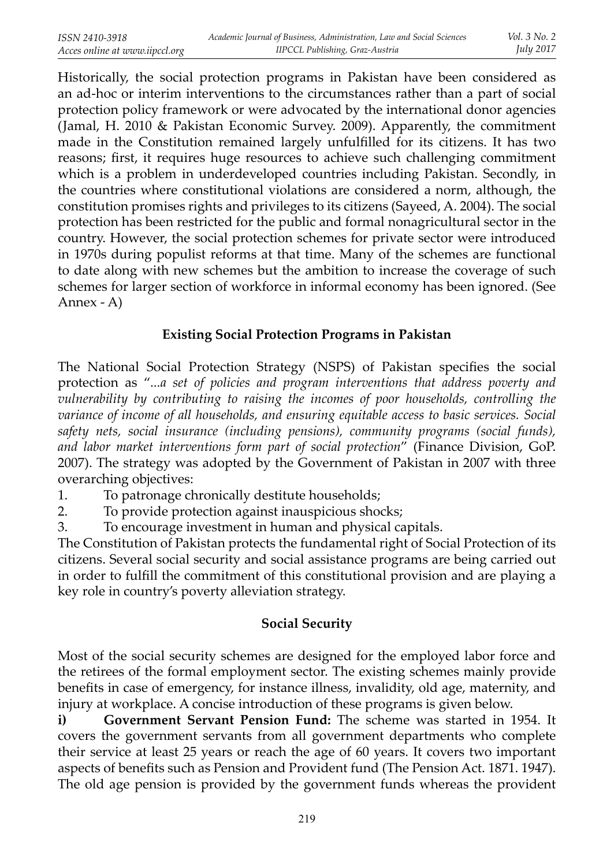Historically, the social protection programs in Pakistan have been considered as an ad-hoc or interim interventions to the circumstances rather than a part of social protection policy framework or were advocated by the international donor agencies (Jamal, H. 2010 & Pakistan Economic Survey. 2009). Apparently, the commitment made in the Constitution remained largely unfulfilled for its citizens. It has two reasons; first, it requires huge resources to achieve such challenging commitment which is a problem in underdeveloped countries including Pakistan. Secondly, in the countries where constitutional violations are considered a norm, although, the constitution promises rights and privileges to its citizens (Sayeed, A. 2004). The social protection has been restricted for the public and formal nonagricultural sector in the country. However, the social protection schemes for private sector were introduced in 1970s during populist reforms at that time. Many of the schemes are functional to date along with new schemes but the ambition to increase the coverage of such schemes for larger section of workforce in informal economy has been ignored. (See Annex - A)

## **Existing Social Protection Programs in Pakistan**

The National Social Protection Strategy (NSPS) of Pakistan specifies the social protection as "*...a set of policies and program interventions that address poverty and vulnerability by contributing to raising the incomes of poor households, controlling the variance of income of all households, and ensuring equitable access to basic services. Social safety nets, social insurance (including pensions), community programs (social funds), and labor market interventions form part of social protection*" (Finance Division, GoP. 2007). The strategy was adopted by the Government of Pakistan in 2007 with three overarching objectives:

- 1. To patronage chronically destitute households;
- 2. To provide protection against inauspicious shocks;
- 3. To encourage investment in human and physical capitals.

The Constitution of Pakistan protects the fundamental right of Social Protection of its citizens. Several social security and social assistance programs are being carried out in order to fulfill the commitment of this constitutional provision and are playing a key role in country's poverty alleviation strategy.

## **Social Security**

Most of the social security schemes are designed for the employed labor force and the retirees of the formal employment sector. The existing schemes mainly provide benefits in case of emergency, for instance illness, invalidity, old age, maternity, and injury at workplace. A concise introduction of these programs is given below.

**i) Government Servant Pension Fund:** The scheme was started in 1954. It covers the government servants from all government departments who complete their service at least 25 years or reach the age of 60 years. It covers two important aspects of benefits such as Pension and Provident fund (The Pension Act. 1871. 1947). The old age pension is provided by the government funds whereas the provident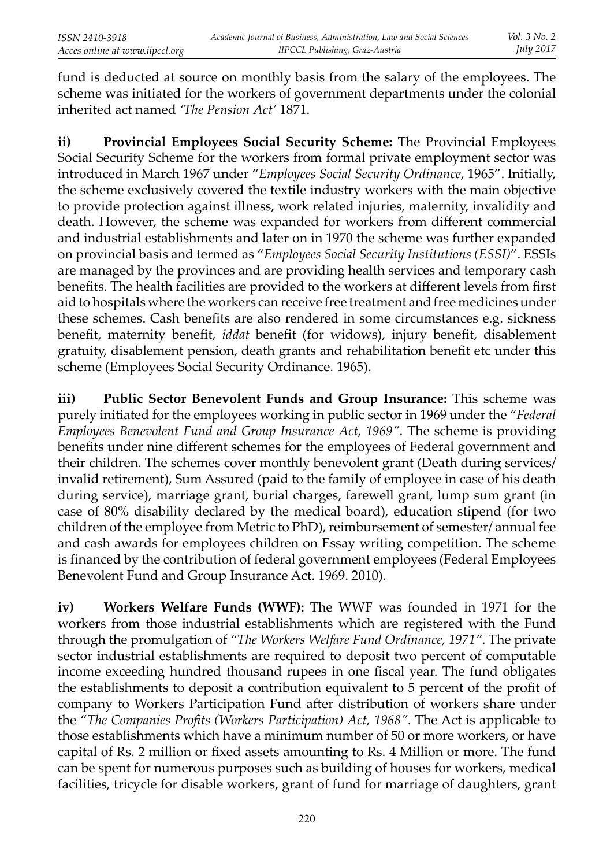fund is deducted at source on monthly basis from the salary of the employees. The scheme was initiated for the workers of government departments under the colonial inherited act named *'The Pension Act'* 1871.

**ii) Provincial Employees Social Security Scheme:** The Provincial Employees Social Security Scheme for the workers from formal private employment sector was introduced in March 1967 under "*Employees Social Security Ordinance*, 1965". Initially, the scheme exclusively covered the textile industry workers with the main objective to provide protection against illness, work related injuries, maternity, invalidity and death. However, the scheme was expanded for workers from different commercial and industrial establishments and later on in 1970 the scheme was further expanded on provincial basis and termed as "*Employees Social Security Institutions (ESSI)*". ESSIs are managed by the provinces and are providing health services and temporary cash benefits. The health facilities are provided to the workers at different levels from first aid to hospitals where the workers can receive free treatment and free medicines under these schemes. Cash benefits are also rendered in some circumstances e.g. sickness benefit, maternity benefit, *iddat* benefit (for widows), injury benefit, disablement gratuity, disablement pension, death grants and rehabilitation benefit etc under this scheme (Employees Social Security Ordinance. 1965).

**iii) Public Sector Benevolent Funds and Group Insurance:** This scheme was purely initiated for the employees working in public sector in 1969 under the "*Federal Employees Benevolent Fund and Group Insurance Act, 1969"*. The scheme is providing benefits under nine different schemes for the employees of Federal government and their children. The schemes cover monthly benevolent grant (Death during services/ invalid retirement), Sum Assured (paid to the family of employee in case of his death during service), marriage grant, burial charges, farewell grant, lump sum grant (in case of 80% disability declared by the medical board), education stipend (for two children of the employee from Metric to PhD), reimbursement of semester/ annual fee and cash awards for employees children on Essay writing competition. The scheme is financed by the contribution of federal government employees (Federal Employees Benevolent Fund and Group Insurance Act. 1969. 2010).

**iv) Workers Welfare Funds (WWF):** The WWF was founded in 1971 for the workers from those industrial establishments which are registered with the Fund through the promulgation of *"The Workers Welfare Fund Ordinance, 1971"*. The private sector industrial establishments are required to deposit two percent of computable income exceeding hundred thousand rupees in one fiscal year. The fund obligates the establishments to deposit a contribution equivalent to 5 percent of the profi t of company to Workers Participation Fund after distribution of workers share under the "*The Companies Profits (Workers Participation) Act, 1968*". The Act is applicable to those establishments which have a minimum number of 50 or more workers, or have capital of Rs. 2 million or fixed assets amounting to Rs. 4 Million or more. The fund can be spent for numerous purposes such as building of houses for workers, medical facilities, tricycle for disable workers, grant of fund for marriage of daughters, grant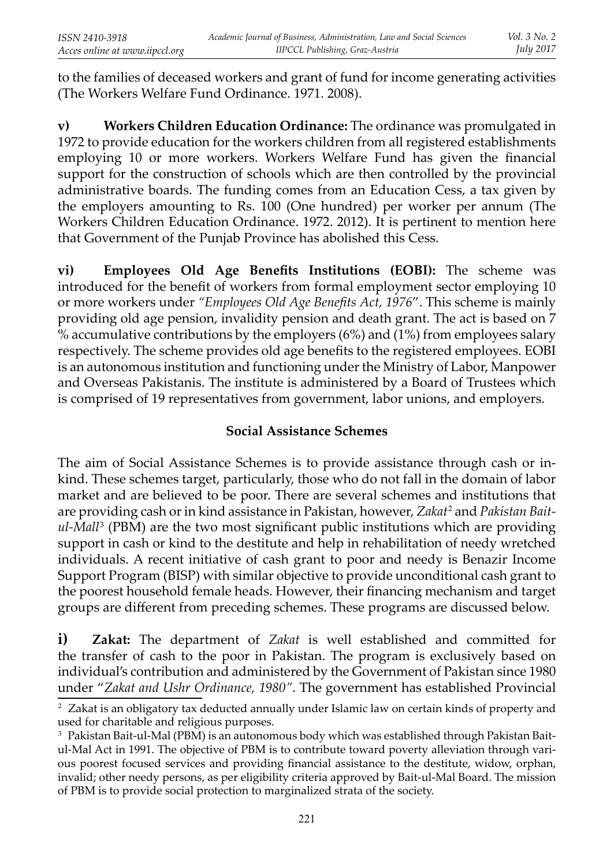to the families of deceased workers and grant of fund for income generating activities (The Workers Welfare Fund Ordinance. 1971. 2008).

**v) Workers Children Education Ordinance:** The ordinance was promulgated in 1972 to provide education for the workers children from all registered establishments employing 10 or more workers. Workers Welfare Fund has given the financial support for the construction of schools which are then controlled by the provincial administrative boards. The funding comes from an Education Cess, a tax given by the employers amounting to Rs. 100 (One hundred) per worker per annum (The Workers Children Education Ordinance. 1972. 2012). It is pertinent to mention here that Government of the Punjab Province has abolished this Cess.

**vi)** Employees Old Age Benefits Institutions (EOBI): The scheme was introduced for the benefit of workers from formal employment sector employing 10 or more workers under "Employees Old Age Benefits Act, 1976". This scheme is mainly providing old age pension, invalidity pension and death grant. The act is based on 7  $\%$  accumulative contributions by the employers (6%) and (1%) from employees salary respectively. The scheme provides old age benefits to the registered employees. EOBI is an autonomous institution and functioning under the Ministry of Labor, Manpower and Overseas Pakistanis. The institute is administered by a Board of Trustees which is comprised of 19 representatives from government, labor unions, and employers.

# **Social Assistance Schemes**

The aim of Social Assistance Schemes is to provide assistance through cash or inkind. These schemes target, particularly, those who do not fall in the domain of labor market and are believed to be poor. There are several schemes and institutions that are providing cash or in kind assistance in Pakistan, however, *Zakat*<sup>2</sup> and *Pakistan Baitul-Mall*<sup>3</sup> (PBM) are the two most significant public institutions which are providing support in cash or kind to the destitute and help in rehabilitation of needy wretched individuals. A recent initiative of cash grant to poor and needy is Benazir Income Support Program (BISP) with similar objective to provide unconditional cash grant to the poorest household female heads. However, their financing mechanism and target groups are different from preceding schemes. These programs are discussed below.

**i) Zakat:** The department of *Zakat* is well established and committed for the transfer of cash to the poor in Pakistan. The program is exclusively based on individual's contribution and administered by the Government of Pakistan since 1980 under "*Zakat and Ushr Ordinance, 1980"*. The government has established Provincial

<sup>2</sup> Zakat is an obligatory tax deducted annually under Islamic law on certain kinds of property and used for charitable and religious purposes.

 $^{\rm 3}$  Pakistan Bait-ul-Mal (PBM) is an autonomous body which was established through Pakistan Baitul-Mal Act in 1991. The objective of PBM is to contribute toward poverty alleviation through various poorest focused services and providing financial assistance to the destitute, widow, orphan, invalid; other needy persons, as per eligibility criteria approved by Bait-ul-Mal Board. The mission of PBM is to provide social protection to marginalized strata of the society.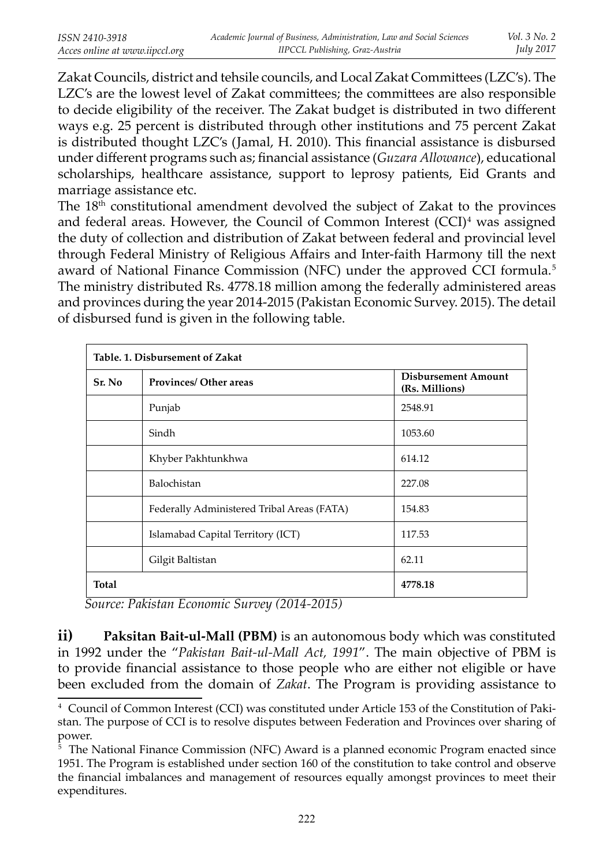Zakat Councils, district and tehsile councils, and Local Zakat Committees (LZC's). The LZC's are the lowest level of Zakat committees; the committees are also responsible to decide eligibility of the receiver. The Zakat budget is distributed in two different ways e.g. 25 percent is distributed through other institutions and 75 percent Zakat is distributed thought  $LZC's$  (Jamal, H. 2010). This financial assistance is disbursed under diff erent programs such as; fi nancial assistance (*Guzara Allowance*), educational scholarships, healthcare assistance, support to leprosy patients, Eid Grants and marriage assistance etc.

The 18th constitutional amendment devolved the subject of Zakat to the provinces and federal areas. However, the Council of Common Interest (CCI)<sup>4</sup> was assigned the duty of collection and distribution of Zakat between federal and provincial level through Federal Ministry of Religious Affairs and Inter-faith Harmony till the next award of National Finance Commission (NFC) under the approved CCI formula.<sup>5</sup> The ministry distributed Rs. 4778.18 million among the federally administered areas and provinces during the year 2014-2015 (Pakistan Economic Survey. 2015). The detail of disbursed fund is given in the following table.

| Table. 1. Disbursement of Zakat |                                            |                                              |  |  |  |
|---------------------------------|--------------------------------------------|----------------------------------------------|--|--|--|
| Sr. No                          | <b>Provinces/ Other areas</b>              | <b>Disbursement Amount</b><br>(Rs. Millions) |  |  |  |
|                                 | Punjab                                     | 2548.91                                      |  |  |  |
|                                 | Sindh                                      | 1053.60                                      |  |  |  |
|                                 | Khyber Pakhtunkhwa                         | 614.12                                       |  |  |  |
|                                 | Balochistan                                | 227.08                                       |  |  |  |
|                                 | Federally Administered Tribal Areas (FATA) | 154.83                                       |  |  |  |
|                                 | Islamabad Capital Territory (ICT)          | 117.53                                       |  |  |  |
|                                 | Gilgit Baltistan                           | 62.11                                        |  |  |  |
| Total                           |                                            | 4778.18                                      |  |  |  |

 *Source: Pakistan Economic Survey (2014-2015)*

**ii) Paksitan Bait-ul-Mall (PBM)** is an autonomous body which was constituted in 1992 under the "*Pakistan Bait-ul-Mall Act, 1991*". The main objective of PBM is to provide financial assistance to those people who are either not eligible or have been excluded from the domain of *Zakat*. The Program is providing assistance to

<sup>4</sup> Council of Common Interest (CCI) was constituted under Article 153 of the Constitution of Pakistan. The purpose of CCI is to resolve disputes between Federation and Provinces over sharing of power.

<sup>5</sup> The National Finance Commission (NFC) Award is a planned economic Program enacted since 1951. The Program is established under section 160 of the constitution to take control and observe the financial imbalances and management of resources equally amongst provinces to meet their expenditures.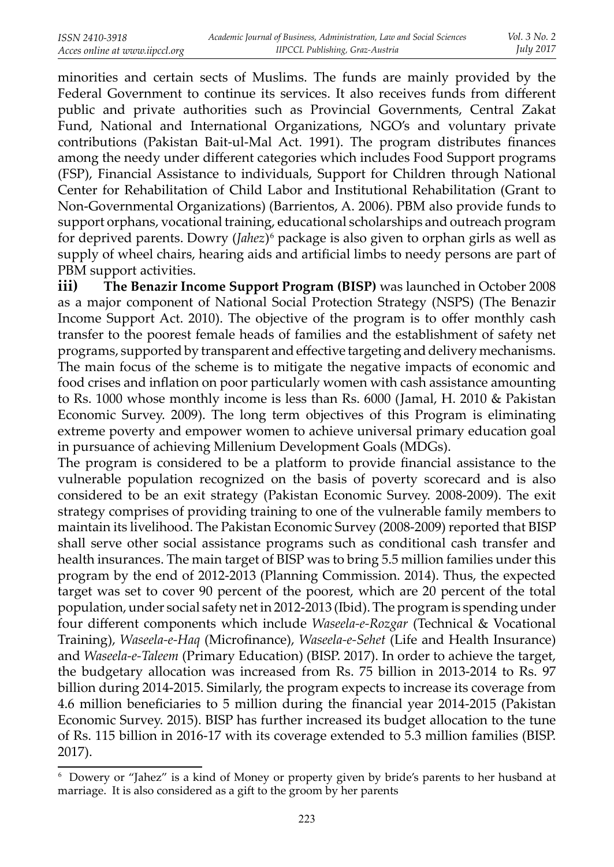minorities and certain sects of Muslims. The funds are mainly provided by the Federal Government to continue its services. It also receives funds from different public and private authorities such as Provincial Governments, Central Zakat Fund, National and International Organizations, NGO's and voluntary private contributions (Pakistan Bait-ul-Mal Act. 1991). The program distributes finances among the needy under different categories which includes Food Support programs (FSP), Financial Assistance to individuals, Support for Children through National Center for Rehabilitation of Child Labor and Institutional Rehabilitation (Grant to Non-Governmental Organizations) (Barrientos, A. 2006). PBM also provide funds to support orphans, vocational training, educational scholarships and outreach program for deprived parents. Dowry (*Jahez*)6 package is also given to orphan girls as well as supply of wheel chairs, hearing aids and artificial limbs to needy persons are part of PBM support activities.

**iii) The Benazir Income Support Program (BISP)** was launched in October 2008 as a major component of National Social Protection Strategy (NSPS) (The Benazir Income Support Act. 2010). The objective of the program is to offer monthly cash transfer to the poorest female heads of families and the establishment of safety net programs, supported by transparent and effective targeting and delivery mechanisms. The main focus of the scheme is to mitigate the negative impacts of economic and food crises and inflation on poor particularly women with cash assistance amounting to Rs. 1000 whose monthly income is less than Rs. 6000 (Jamal, H. 2010 & Pakistan Economic Survey. 2009). The long term objectives of this Program is eliminating extreme poverty and empower women to achieve universal primary education goal in pursuance of achieving Millenium Development Goals (MDGs).

The program is considered to be a platform to provide financial assistance to the vulnerable population recognized on the basis of poverty scorecard and is also considered to be an exit strategy (Pakistan Economic Survey. 2008-2009). The exit strategy comprises of providing training to one of the vulnerable family members to maintain its livelihood. The Pakistan Economic Survey (2008-2009) reported that BISP shall serve other social assistance programs such as conditional cash transfer and health insurances. The main target of BISP was to bring 5.5 million families under this program by the end of 2012-2013 (Planning Commission. 2014). Thus, the expected target was set to cover 90 percent of the poorest, which are 20 percent of the total population, under social safety net in 2012-2013 (Ibid). The program is spending under four diff erent components which include *Waseela-e-Rozgar* (Technical & Vocational Training), *Waseela-e-Haq* (Microfinance), *Waseela-e-Sehet* (Life and Health Insurance) and *Waseela-e-Taleem* (Primary Education) (BISP. 2017). In order to achieve the target, the budgetary allocation was increased from Rs. 75 billion in 2013-2014 to Rs. 97 billion during 2014-2015. Similarly, the program expects to increase its coverage from 4.6 million beneficiaries to 5 million during the financial year 2014-2015 (Pakistan Economic Survey. 2015). BISP has further increased its budget allocation to the tune of Rs. 115 billion in 2016-17 with its coverage extended to 5.3 million families (BISP. 2017).

<sup>6</sup> Dowery or "Jahez" is a kind of Money or property given by bride's parents to her husband at marriage. It is also considered as a gift to the groom by her parents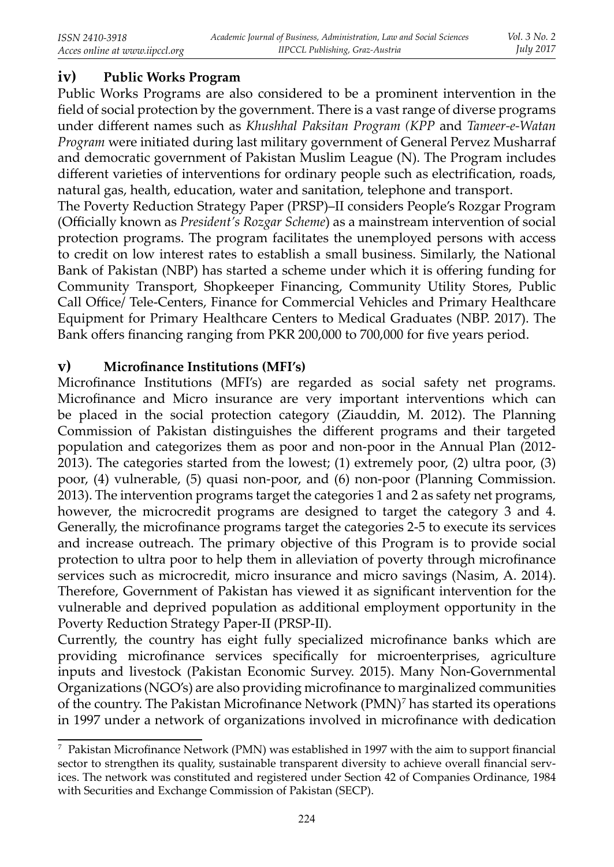## **iv) Public Works Program**

Public Works Programs are also considered to be a prominent intervention in the field of social protection by the government. There is a vast range of diverse programs under diff erent names such as *Khushhal Paksitan Program (KPP* and *Tameer-e-Watan Program* were initiated during last military government of General Pervez Musharraf and democratic government of Pakistan Muslim League (N). The Program includes different varieties of interventions for ordinary people such as electrification, roads, natural gas, health, education, water and sanitation, telephone and transport.

The Poverty Reduction Strategy Paper (PRSP)–II considers People's Rozgar Program (Officially known as *President's Rozgar Scheme*) as a mainstream intervention of social protection programs. The program facilitates the unemployed persons with access to credit on low interest rates to establish a small business. Similarly, the National Bank of Pakistan (NBP) has started a scheme under which it is offering funding for Community Transport, Shopkeeper Financing, Community Utility Stores, Public Call Office/ Tele-Centers, Finance for Commercial Vehicles and Primary Healthcare Equipment for Primary Healthcare Centers to Medical Graduates (NBP. 2017). The Bank offers financing ranging from PKR 200,000 to 700,000 for five years period.

### **v)** Microfinance Institutions (MFI's)

Microfinance Institutions (MFI's) are regarded as social safety net programs. Microfinance and Micro insurance are very important interventions which can be placed in the social protection category (Ziauddin, M. 2012). The Planning Commission of Pakistan distinguishes the different programs and their targeted population and categorizes them as poor and non-poor in the Annual Plan (2012- 2013). The categories started from the lowest; (1) extremely poor, (2) ultra poor, (3) poor, (4) vulnerable, (5) quasi non-poor, and (6) non-poor (Planning Commission. 2013). The intervention programs target the categories 1 and 2 as safety net programs, however, the microcredit programs are designed to target the category 3 and 4. Generally, the microfinance programs target the categories 2-5 to execute its services and increase outreach. The primary objective of this Program is to provide social protection to ultra poor to help them in alleviation of poverty through microfinance services such as microcredit, micro insurance and micro savings (Nasim, A. 2014). Therefore, Government of Pakistan has viewed it as significant intervention for the vulnerable and deprived population as additional employment opportunity in the Poverty Reduction Strategy Paper-II (PRSP-II).

Currently, the country has eight fully specialized microfinance banks which are providing microfinance services specifically for microenterprises, agriculture inputs and livestock (Pakistan Economic Survey. 2015). Many Non-Governmental Organizations (NGO's) are also providing microfinance to marginalized communities of the country. The Pakistan Microfinance Network  $(PMN)^7$  has started its operations in 1997 under a network of organizations involved in microfinance with dedication

 $^7\,$  Pakistan Microfinance Network (PMN) was established in 1997 with the aim to support financial sector to strengthen its quality, sustainable transparent diversity to achieve overall financial services. The network was constituted and registered under Section 42 of Companies Ordinance, 1984 with Securities and Exchange Commission of Pakistan (SECP).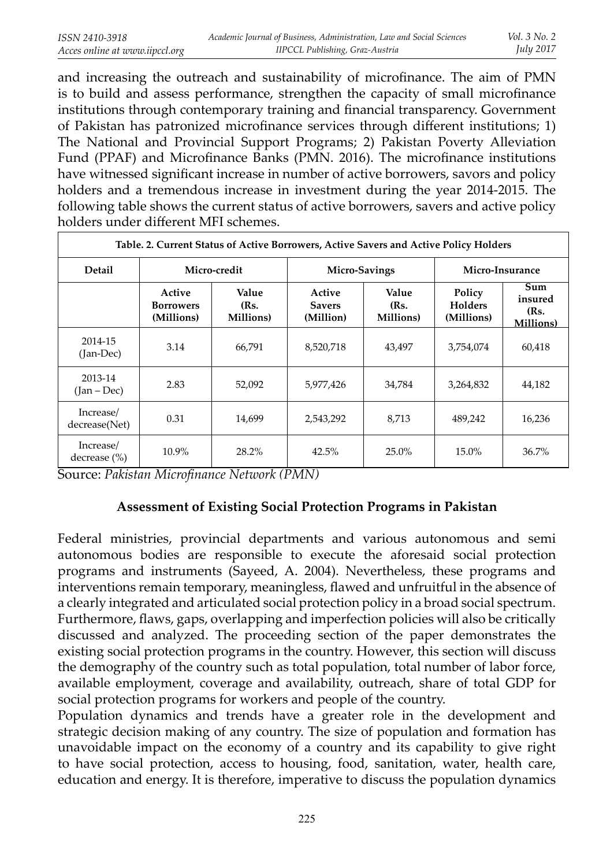and increasing the outreach and sustainability of microfinance. The aim of PMN is to build and assess performance, strengthen the capacity of small microfinance institutions through contemporary training and financial transparency. Government of Pakistan has patronized microfinance services through different institutions; 1) The National and Provincial Support Programs; 2) Pakistan Poverty Alleviation Fund (PPAF) and Microfinance Banks (PMN. 2016). The microfinance institutions have witnessed significant increase in number of active borrowers, savors and policy holders and a tremendous increase in investment during the year 2014-2015. The following table shows the current status of active borrowers, savers and active policy holders under different MFI schemes.

| Table. 2. Current Status of Active Borrowers, Active Savers and Active Policy Holders |                                          |                            |                                      |                            |                                        |                                             |
|---------------------------------------------------------------------------------------|------------------------------------------|----------------------------|--------------------------------------|----------------------------|----------------------------------------|---------------------------------------------|
| Detail                                                                                | Micro-credit                             |                            | Micro-Savings                        |                            | Micro-Insurance                        |                                             |
|                                                                                       | Active<br><b>Borrowers</b><br>(Millions) | Value<br>(Rs.<br>Millions) | Active<br><b>Savers</b><br>(Million) | Value<br>(Rs.<br>Millions) | Policy<br><b>Holders</b><br>(Millions) | Sum<br>insured<br>(Rs.<br><b>Millions</b> ) |
| 2014-15<br>(Jan-Dec)                                                                  | 3.14                                     | 66,791                     | 8,520,718                            | 43,497                     | 3,754,074                              | 60,418                                      |
| 2013-14<br>2.83<br>$(Jan - Dec)$                                                      |                                          | 52,092                     | 5,977,426                            | 34,784                     | 3,264,832                              | 44,182                                      |
| Increase/<br>decrease(Net)                                                            | 0.31                                     | 14,699                     | 2,543,292                            | 8,713                      | 489,242                                | 16,236                                      |
| Increase/<br>decrease $(\% )$                                                         | 10.9%                                    | 28.2%                      | 42.5%                                | 25.0%                      | 15.0%                                  | 36.7%                                       |

Source: Pakistan Microfinance Network (PMN)

### **Assessment of Existing Social Protection Programs in Pakistan**

Federal ministries, provincial departments and various autonomous and semi autonomous bodies are responsible to execute the aforesaid social protection programs and instruments (Sayeed, A. 2004). Nevertheless, these programs and interventions remain temporary, meaningless, flawed and unfruitful in the absence of a clearly integrated and articulated social protection policy in a broad social spectrum. Furthermore, flaws, gaps, overlapping and imperfection policies will also be critically discussed and analyzed. The proceeding section of the paper demonstrates the existing social protection programs in the country. However, this section will discuss the demography of the country such as total population, total number of labor force, available employment, coverage and availability, outreach, share of total GDP for social protection programs for workers and people of the country.

Population dynamics and trends have a greater role in the development and strategic decision making of any country. The size of population and formation has unavoidable impact on the economy of a country and its capability to give right to have social protection, access to housing, food, sanitation, water, health care, education and energy. It is therefore, imperative to discuss the population dynamics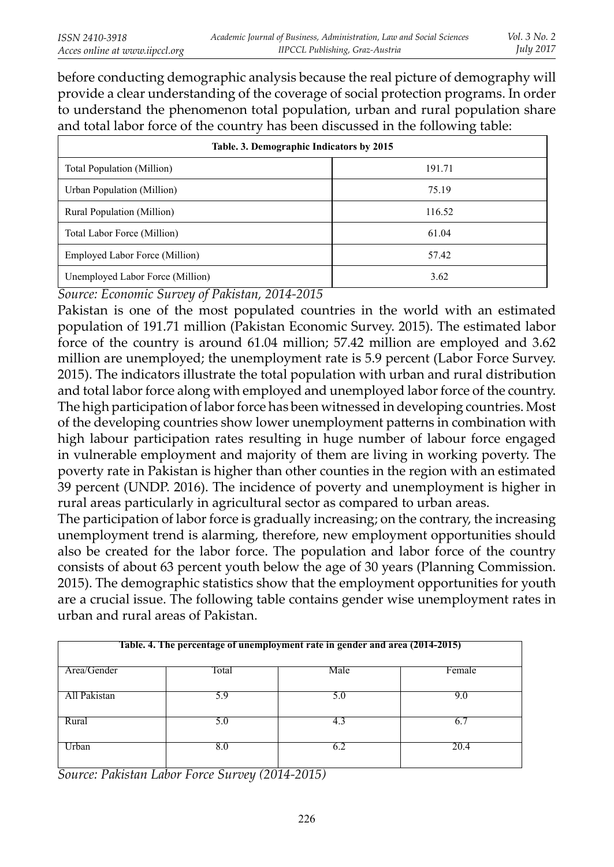before conducting demographic analysis because the real picture of demography will provide a clear understanding of the coverage of social protection programs. In order to understand the phenomenon total population, urban and rural population share and total labor force of the country has been discussed in the following table:

| Table. 3. Demographic Indicators by 2015 |        |  |  |  |  |
|------------------------------------------|--------|--|--|--|--|
| <b>Total Population (Million)</b>        | 191.71 |  |  |  |  |
| Urban Population (Million)               | 75.19  |  |  |  |  |
| Rural Population (Million)               | 116.52 |  |  |  |  |
| Total Labor Force (Million)              | 61.04  |  |  |  |  |
| Employed Labor Force (Million)           | 57.42  |  |  |  |  |
| Unemployed Labor Force (Million)         | 3.62   |  |  |  |  |

*Source: Economic Survey of Pakistan, 2014-2015*

Pakistan is one of the most populated countries in the world with an estimated population of 191.71 million (Pakistan Economic Survey. 2015). The estimated labor force of the country is around 61.04 million; 57.42 million are employed and 3.62 million are unemployed; the unemployment rate is 5.9 percent (Labor Force Survey. 2015). The indicators illustrate the total population with urban and rural distribution and total labor force along with employed and unemployed labor force of the country. The high participation of labor force has been witnessed in developing countries. Most of the developing countries show lower unemployment patterns in combination with high labour participation rates resulting in huge number of labour force engaged in vulnerable employment and majority of them are living in working poverty. The poverty rate in Pakistan is higher than other counties in the region with an estimated 39 percent (UNDP. 2016). The incidence of poverty and unemployment is higher in rural areas particularly in agricultural sector as compared to urban areas.

The participation of labor force is gradually increasing; on the contrary, the increasing unemployment trend is alarming, therefore, new employment opportunities should also be created for the labor force. The population and labor force of the country consists of about 63 percent youth below the age of 30 years (Planning Commission. 2015). The demographic statistics show that the employment opportunities for youth are a crucial issue. The following table contains gender wise unemployment rates in urban and rural areas of Pakistan.

| Table. 4. The percentage of unemployment rate in gender and area (2014-2015) |       |      |              |  |  |
|------------------------------------------------------------------------------|-------|------|--------------|--|--|
| Area/Gender                                                                  | Total | Male | Female       |  |  |
| All Pakistan                                                                 | 5.9   | 5.U  | 9.0          |  |  |
| Rural                                                                        | 5.0   |      | <sub>6</sub> |  |  |
| Jrban                                                                        | 8.0   |      | 20.4         |  |  |

*Source: Pakistan Labor Force Survey (2014-2015)*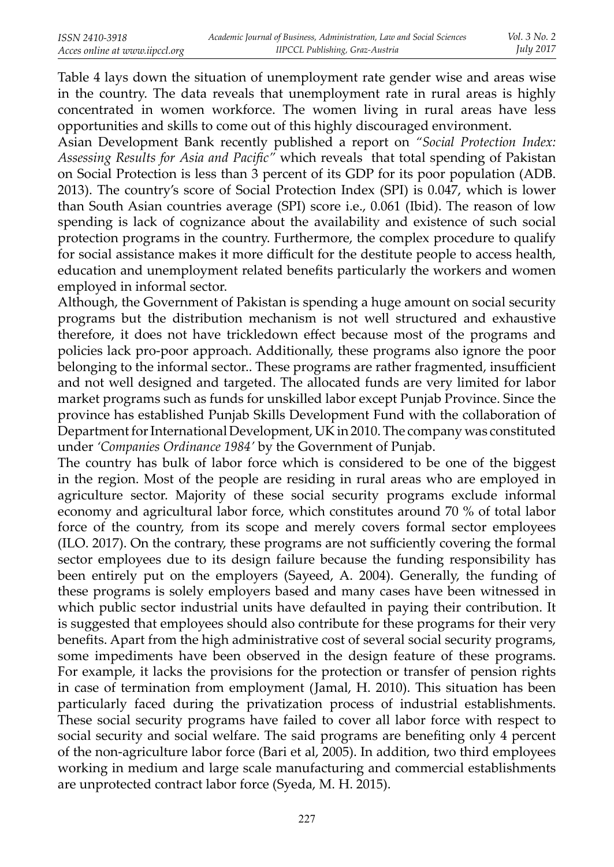Table 4 lays down the situation of unemployment rate gender wise and areas wise in the country. The data reveals that unemployment rate in rural areas is highly concentrated in women workforce. The women living in rural areas have less opportunities and skills to come out of this highly discouraged environment.

Asian Development Bank recently published a report on *"Social Protection Index:*  Assessing Results for Asia and Pacific" which reveals that total spending of Pakistan on Social Protection is less than 3 percent of its GDP for its poor population (ADB. 2013). The country's score of Social Protection Index (SPI) is 0.047, which is lower than South Asian countries average (SPI) score i.e., 0.061 (Ibid). The reason of low spending is lack of cognizance about the availability and existence of such social protection programs in the country. Furthermore, the complex procedure to qualify for social assistance makes it more difficult for the destitute people to access health, education and unemployment related benefits particularly the workers and women employed in informal sector.

Although, the Government of Pakistan is spending a huge amount on social security programs but the distribution mechanism is not well structured and exhaustive therefore, it does not have trickledown effect because most of the programs and policies lack pro-poor approach. Additionally, these programs also ignore the poor belonging to the informal sector.. These programs are rather fragmented, insufficient and not well designed and targeted. The allocated funds are very limited for labor market programs such as funds for unskilled labor except Punjab Province. Since the province has established Punjab Skills Development Fund with the collaboration of Department for International Development, UK in 2010. The company was constituted under *'Companies Ordinance 1984'* by the Government of Punjab.

The country has bulk of labor force which is considered to be one of the biggest in the region. Most of the people are residing in rural areas who are employed in agriculture sector. Majority of these social security programs exclude informal economy and agricultural labor force, which constitutes around 70 % of total labor force of the country, from its scope and merely covers formal sector employees (ILO. 2017). On the contrary, these programs are not sufficiently covering the formal sector employees due to its design failure because the funding responsibility has been entirely put on the employers (Sayeed, A. 2004). Generally, the funding of these programs is solely employers based and many cases have been witnessed in which public sector industrial units have defaulted in paying their contribution. It is suggested that employees should also contribute for these programs for their very benefits. Apart from the high administrative cost of several social security programs, some impediments have been observed in the design feature of these programs. For example, it lacks the provisions for the protection or transfer of pension rights in case of termination from employment (Jamal, H. 2010). This situation has been particularly faced during the privatization process of industrial establishments. These social security programs have failed to cover all labor force with respect to social security and social welfare. The said programs are benefiting only 4 percent of the non-agriculture labor force (Bari et al, 2005). In addition, two third employees working in medium and large scale manufacturing and commercial establishments are unprotected contract labor force (Syeda, M. H. 2015).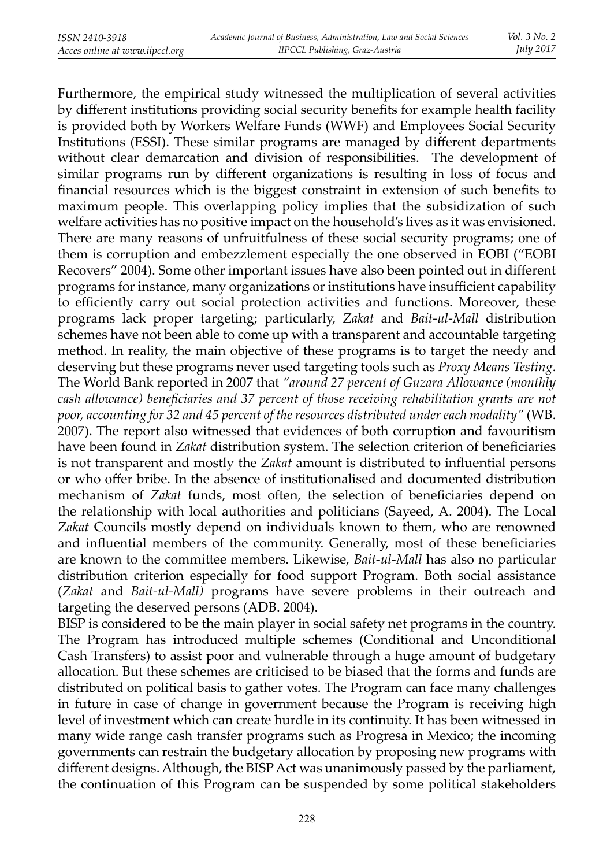Furthermore, the empirical study witnessed the multiplication of several activities by different institutions providing social security benefits for example health facility is provided both by Workers Welfare Funds (WWF) and Employees Social Security Institutions (ESSI). These similar programs are managed by different departments without clear demarcation and division of responsibilities. The development of similar programs run by different organizations is resulting in loss of focus and financial resources which is the biggest constraint in extension of such benefits to maximum people. This overlapping policy implies that the subsidization of such welfare activities has no positive impact on the household's lives as it was envisioned. There are many reasons of unfruitfulness of these social security programs; one of them is corruption and embezzlement especially the one observed in EOBI ("EOBI Recovers" 2004). Some other important issues have also been pointed out in different programs for instance, many organizations or institutions have insufficient capability to efficiently carry out social protection activities and functions. Moreover, these programs lack proper targeting; particularly, *Zakat* and *Bait-ul-Mall* distribution schemes have not been able to come up with a transparent and accountable targeting method. In reality, the main objective of these programs is to target the needy and deserving but these programs never used targeting tools such as *Proxy Means Testing*. The World Bank reported in 2007 that *"around 27 percent of Guzara Allowance (monthly cash allowance) beneficiaries and 37 percent of those receiving rehabilitation grants are not poor, accounting for 32 and 45 percent of the resources distributed under each modality"* (WB. 2007). The report also witnessed that evidences of both corruption and favouritism have been found in *Zakat* distribution system. The selection criterion of beneficiaries is not transparent and mostly the *Zakat* amount is distributed to influential persons or who offer bribe. In the absence of institutionalised and documented distribution mechanism of *Zakat* funds, most often, the selection of beneficiaries depend on the relationship with local authorities and politicians (Sayeed, A. 2004). The Local *Zakat* Councils mostly depend on individuals known to them, who are renowned and influential members of the community. Generally, most of these beneficiaries are known to the committee members. Likewise, *Bait-ul-Mall* has also no particular distribution criterion especially for food support Program. Both social assistance (*Zakat* and *Bait-ul-Mall)* programs have severe problems in their outreach and targeting the deserved persons (ADB. 2004).

BISP is considered to be the main player in social safety net programs in the country. The Program has introduced multiple schemes (Conditional and Unconditional Cash Transfers) to assist poor and vulnerable through a huge amount of budgetary allocation. But these schemes are criticised to be biased that the forms and funds are distributed on political basis to gather votes. The Program can face many challenges in future in case of change in government because the Program is receiving high level of investment which can create hurdle in its continuity. It has been witnessed in many wide range cash transfer programs such as Progresa in Mexico; the incoming governments can restrain the budgetary allocation by proposing new programs with different designs. Although, the BISP Act was unanimously passed by the parliament, the continuation of this Program can be suspended by some political stakeholders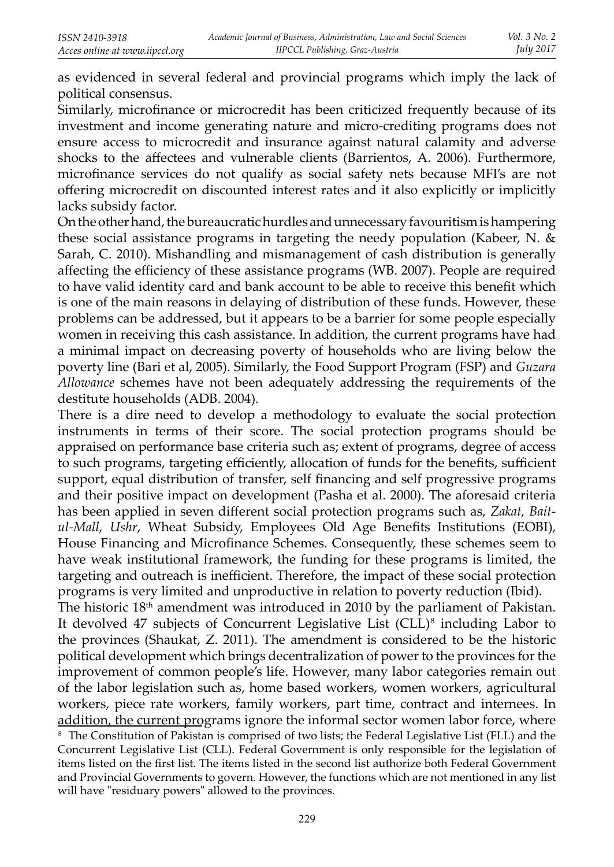as evidenced in several federal and provincial programs which imply the lack of political consensus.

Similarly, microfinance or microcredit has been criticized frequently because of its investment and income generating nature and micro-crediting programs does not ensure access to microcredit and insurance against natural calamity and adverse shocks to the affectees and vulnerable clients (Barrientos, A. 2006). Furthermore, microfinance services do not qualify as social safety nets because MFI's are not offering microcredit on discounted interest rates and it also explicitly or implicitly lacks subsidy factor.

On the other hand, the bureaucratic hurdles and unnecessary favouritism is hampering these social assistance programs in targeting the needy population (Kabeer, N. & Sarah, C. 2010). Mishandling and mismanagement of cash distribution is generally affecting the efficiency of these assistance programs (WB. 2007). People are required to have valid identity card and bank account to be able to receive this benefit which is one of the main reasons in delaying of distribution of these funds. However, these problems can be addressed, but it appears to be a barrier for some people especially women in receiving this cash assistance. In addition, the current programs have had a minimal impact on decreasing poverty of households who are living below the poverty line (Bari et al, 2005). Similarly, the Food Support Program (FSP) and *Guzara Allowance* schemes have not been adequately addressing the requirements of the destitute households (ADB. 2004).

There is a dire need to develop a methodology to evaluate the social protection instruments in terms of their score. The social protection programs should be appraised on performance base criteria such as; extent of programs, degree of access to such programs, targeting efficiently, allocation of funds for the benefits, sufficient support, equal distribution of transfer, self financing and self progressive programs and their positive impact on development (Pasha et al. 2000). The aforesaid criteria has been applied in seven different social protection programs such as, Zakat, Bait*ul-Mall, Ushr, Wheat Subsidy, Employees Old Age Benefits Institutions (EOBI),* House Financing and Microfinance Schemes. Consequently, these schemes seem to have weak institutional framework, the funding for these programs is limited, the targeting and outreach is inefficient. Therefore, the impact of these social protection programs is very limited and unproductive in relation to poverty reduction (Ibid).

The historic  $18<sup>th</sup>$  amendment was introduced in 2010 by the parliament of Pakistan. It devolved 47 subjects of Concurrent Legislative List (CLL)8 including Labor to the provinces (Shaukat, Z. 2011). The amendment is considered to be the historic political development which brings decentralization of power to the provinces for the improvement of common people's life. However, many labor categories remain out of the labor legislation such as, home based workers, women workers, agricultural workers, piece rate workers, family workers, part time, contract and internees. In addition, the current programs ignore the informal sector women labor force, where  $^8$  The Constitution of Pakistan is comprised of two lists; the Federal Legislative List (FLL) and the Concurrent Legislative List (CLL). Federal Government is only responsible for the legislation of items listed on the first list. The items listed in the second list authorize both Federal Government and Provincial Governments to govern. However, the functions which are not mentioned in any list will have "residuary powers" allowed to the provinces.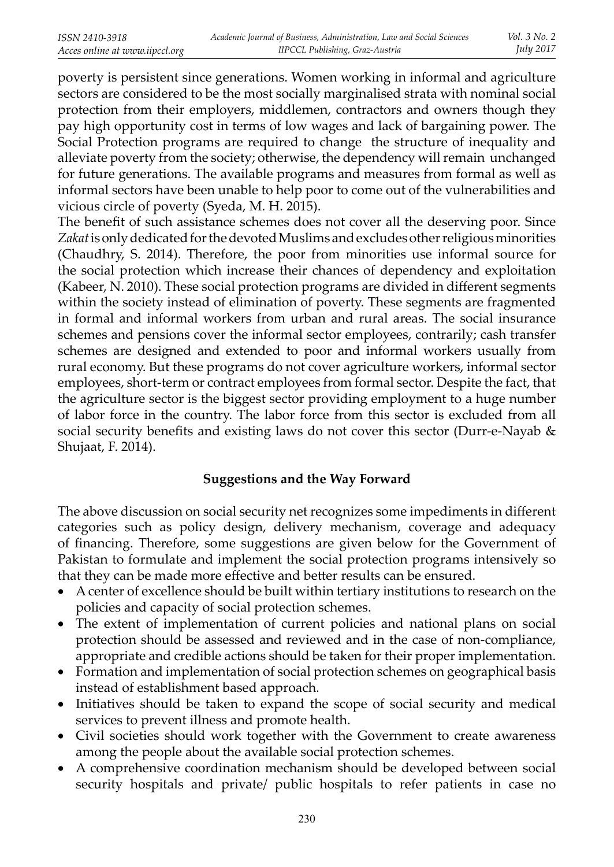poverty is persistent since generations. Women working in informal and agriculture sectors are considered to be the most socially marginalised strata with nominal social protection from their employers, middlemen, contractors and owners though they pay high opportunity cost in terms of low wages and lack of bargaining power. The Social Protection programs are required to change the structure of inequality and alleviate poverty from the society; otherwise, the dependency will remain unchanged for future generations. The available programs and measures from formal as well as informal sectors have been unable to help poor to come out of the vulnerabilities and vicious circle of poverty (Syeda, M. H. 2015).

The benefit of such assistance schemes does not cover all the deserving poor. Since *Zakat* is only dedicated for the devoted Muslims and excludes other religious minorities (Chaudhry, S. 2014). Therefore, the poor from minorities use informal source for the social protection which increase their chances of dependency and exploitation (Kabeer, N. 2010). These social protection programs are divided in different segments within the society instead of elimination of poverty. These segments are fragmented in formal and informal workers from urban and rural areas. The social insurance schemes and pensions cover the informal sector employees, contrarily; cash transfer schemes are designed and extended to poor and informal workers usually from rural economy. But these programs do not cover agriculture workers, informal sector employees, short-term or contract employees from formal sector. Despite the fact, that the agriculture sector is the biggest sector providing employment to a huge number of labor force in the country. The labor force from this sector is excluded from all social security benefits and existing laws do not cover this sector (Durr-e-Nayab  $\&$ Shujaat, F. 2014).

### **Suggestions and the Way Forward**

The above discussion on social security net recognizes some impediments in different categories such as policy design, delivery mechanism, coverage and adequacy of financing. Therefore, some suggestions are given below for the Government of Pakistan to formulate and implement the social protection programs intensively so that they can be made more effective and better results can be ensured.

- A center of excellence should be built within tertiary institutions to research on the policies and capacity of social protection schemes.
- The extent of implementation of current policies and national plans on social protection should be assessed and reviewed and in the case of non-compliance, appropriate and credible actions should be taken for their proper implementation.
- Formation and implementation of social protection schemes on geographical basis instead of establishment based approach.
- Initiatives should be taken to expand the scope of social security and medical services to prevent illness and promote health.
- Civil societies should work together with the Government to create awareness among the people about the available social protection schemes.
- A comprehensive coordination mechanism should be developed between social security hospitals and private/ public hospitals to refer patients in case no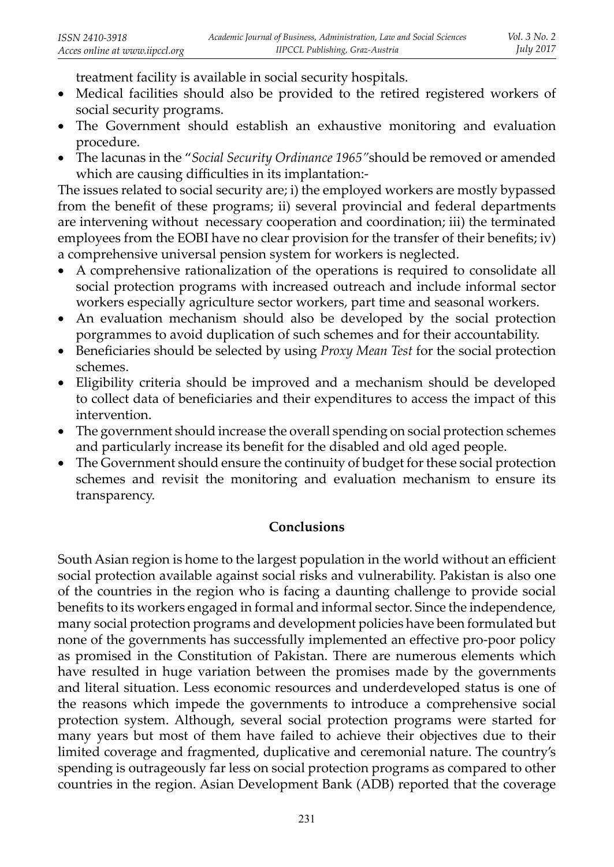treatment facility is available in social security hospitals.

- Medical facilities should also be provided to the retired registered workers of social security programs.
- The Government should establish an exhaustive monitoring and evaluation procedure.
- The lacunas in the "*Social Security Ordinance 1965"*should be removed or amended which are causing difficulties in its implantation:-

The issues related to social security are; i) the employed workers are mostly bypassed from the benefit of these programs; ii) several provincial and federal departments are intervening without necessary cooperation and coordination; iii) the terminated employees from the EOBI have no clear provision for the transfer of their benefits;  $iv$ ) a comprehensive universal pension system for workers is neglected.

- A comprehensive rationalization of the operations is required to consolidate all s ocial protection programs with increased outreach and include informal sector workers especially agriculture sector workers, part time and seasonal workers.
- An evaluation mechanism should also be developed by the social protection porgrammes to avoid duplication of such schemes and for their accountability.
- Beneficiaries should be selected by using *Proxy Mean Test* for the social protection schemes.
- Eligibility criteria should be improved and a mechanism should be developed to collect data of beneficiaries and their expenditures to access the impact of this intervention.
- The government should increase the overall spending on social protection schemes and particularly increase its benefit for the disabled and old aged people.
- The Government should ensure the continuity of budget for these social protection schemes and revisit the monitoring and evaluation mechanism to ensure its transparency.

### **Conclusions**

South Asian region is home to the largest population in the world without an efficient social protection available against social risks and vulnerability. Pakistan is also one of the countries in the region who is facing a daunting challenge to provide social benefits to its workers engaged in formal and informal sector. Since the independence, many social protection programs and development policies have been formulated but none of the governments has successfully implemented an effective pro-poor policy as promised in the Constitution of Pakistan. There are numerous elements which have resulted in huge variation between the promises made by the governments and literal situation. Less economic resources and underdeveloped status is one of the reasons which impede the governments to introduce a comprehensive social protection system. Although, several social protection programs were started for many years but most of them have failed to achieve their objectives due to their limited coverage and fragmented, duplicative and ceremonial nature. The country's spending is outrageously far less on social protection programs as compared to other countries in the region. Asian Development Bank (ADB) reported that the coverage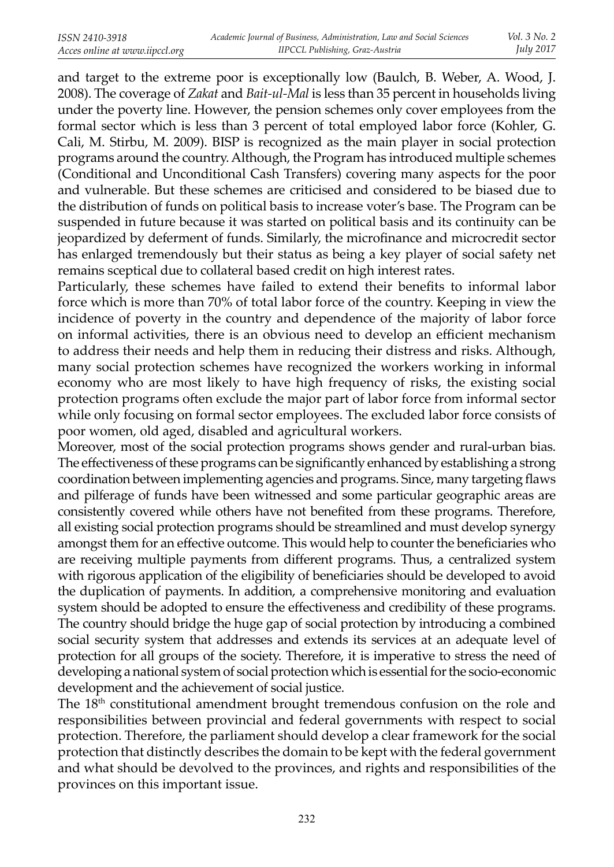and target to the extreme poor is exceptionally low (Baulch, B. Weber, A. Wood, J. 2008). The coverage of *Zakat* and *Bait-ul-Mal* is less than 35 percent in households living under the poverty line. However, the pension schemes only cover employees from the formal sector which is less than 3 percent of total employed labor force (Kohler, G. Cali, M. Stirbu, M. 2009). BISP is recognized as the main player in social protection programs around the country. Although, the Program has introduced multiple schemes (Conditional and Unconditional Cash Transfers) covering many aspects for the poor and vulnerable. But these schemes are criticised and considered to be biased due to the distribution of funds on political basis to increase voter's base. The Program can be suspended in future because it was started on political basis and its continuity can be jeopardized by deferment of funds. Similarly, the microfinance and microcredit sector has enlarged tremendously but their status as being a key player of social safety net remains sceptical due to collateral based credit on high interest rates.

Particularly, these schemes have failed to extend their benefits to informal labor force which is more than 70% of total labor force of the country. Keeping in view the incidence of poverty in the country and dependence of the majority of labor force on informal activities, there is an obvious need to develop an efficient mechanism to address their needs and help them in reducing their distress and risks. Although, many social protection schemes have recognized the workers working in informal economy who are most likely to have high frequency of risks, the existing social protection programs often exclude the major part of labor force from informal sector while only focusing on formal sector employees. The excluded labor force consists of poor women, old aged, disabled and agricultural workers.

Moreover, most of the social protection programs shows gender and rural-urban bias. The effectiveness of these programs can be significantly enhanced by establishing a strong coordination between implementing agencies and programs. Since, many targeting flaws and pilferage of funds have been witnessed and some particular geographic areas are consistently covered while others have not benefited from these programs. Therefore, all existing social protection programs should be streamlined and must develop synergy amongst them for an effective outcome. This would help to counter the beneficiaries who are receiving multiple payments from different programs. Thus, a centralized system with rigorous application of the eligibility of beneficiaries should be developed to avoid the duplication of payments. In addition, a comprehensive monitoring and evaluation system should be adopted to ensure the effectiveness and credibility of these programs. The country should bridge the huge gap of social protection by introducing a combined social security system that addresses and extends its services at an adequate level of protection for all groups of the society. Therefore, it is imperative to stress the need of developing a national system of social protection which is essential for the socio-economic development and the achievement of social justice.

The 18<sup>th</sup> constitutional amendment brought tremendous confusion on the role and responsibilities between provincial and federal governments with respect to social protection. Therefore, the parliament should develop a clear framework for the social protection that distinctly describes the domain to be kept with the federal government and what should be devolved to the provinces, and rights and responsibilities of the provinces on this important issue.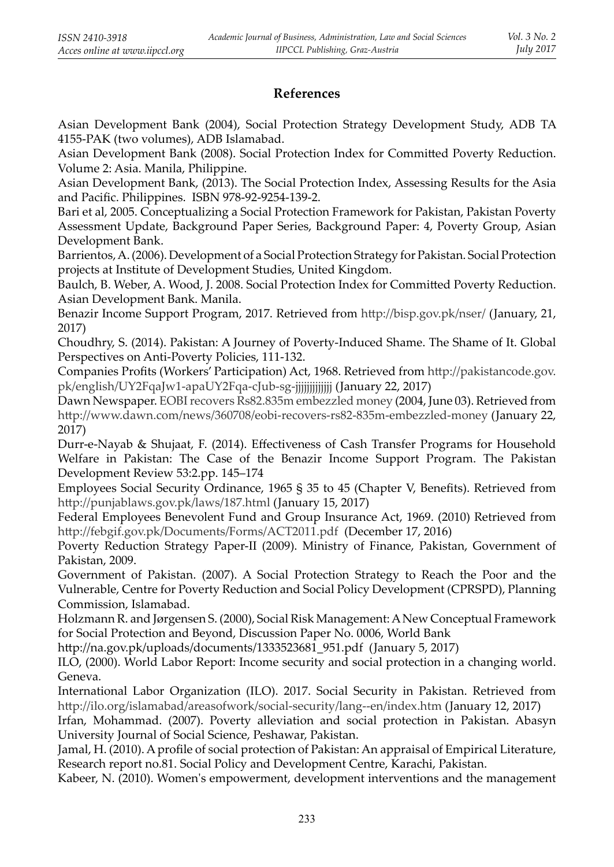## **References**

Asian Development Bank (2004), Social Protection Strategy Development Study, ADB TA 4155-PAK (two volumes), ADB Islamabad.

Asian Development Bank (2008). Social Protection Index for Committed Poverty Reduction. Volume 2: Asia. Manila, Philippine.

Asian Development Bank, (2013). The Social Protection Index, Assessing Results for the Asia and Pacific. Philippines. ISBN 978-92-9254-139-2.

Bari et al, 2005. Conceptualizing a Social Protection Framework for Pakistan, Pakistan Poverty Assessment Update, Background Paper Series, Background Paper: 4, Poverty Group, Asian Development Bank.

Barrientos, A. (2006). Development of a Social Protection Strategy for Pakistan. Social Protection projects at Institute of Development Studies, United Kingdom.

Baulch, B. Weber, A. Wood, J. 2008. Social Protection Index for Committed Poverty Reduction. Asian Development Bank. Manila.

Benazir Income Support Program, 2017. Retrieved from http://bisp.gov.pk/nser/ (January, 21, 2017)

Choudhry, S. (2014). Pakistan: A Journey of Poverty-Induced Shame. The Shame of It. Global Perspectives on Anti-Poverty Policies, 111-132.

Companies Profits (Workers' Participation) Act, 1968. Retrieved from http://pakistancode.gov. pk/english/UY2FqaJw1-apaUY2Fqa-cJub-sg-jjjjjjjjjjjjj (January 22, 2017)

Dawn Newspaper. EOBI recovers Rs82.835m embezzled money (2004, June 03). Retrieved from http://www.dawn.com/news/360708/eobi-recovers-rs82-835m-embezzled-money (January 22, 2017)

Durr-e-Nayab & Shujaat, F. (2014). Effectiveness of Cash Transfer Programs for Household Welfare in Pakistan: The Case of the Benazir Income Support Program. The Pakistan Development Review 53:2.pp. 145–174

Employees Social Security Ordinance, 1965 § 35 to 45 (Chapter V, Benefits). Retrieved from http://punjablaws.gov.pk/laws/187.html (January 15, 2017)

Federal Employees Benevolent Fund and Group Insurance Act, 1969. (2010) Retrieved from http://febgif.gov.pk/Documents/Forms/ACT2011.pdf (December 17, 2016)

Poverty Reduction Strategy Paper-II (2009). Ministry of Finance, Pakistan, Government of Pakistan, 2009.

Government of Pakistan. (2007). A Social Protection Strategy to Reach the Poor and the Vulnerable, Centre for Poverty Reduction and Social Policy Development (CPRSPD), Planning Commission, Islamabad.

Holzmann R. and Jørgensen S. (2000), Social Risk Management: A New Conceptual Framework for Social Protection and Beyond, Discussion Paper No. 0006, World Bank

http://na.gov.pk/uploads/documents/1333523681\_951.pdf (January 5, 2017)

ILO, (2000). World Labor Report: Income security and social protection in a changing world. Geneva.

International Labor Organization (ILO). 2017. Social Security in Pakistan. Retrieved from http://ilo.org/islamabad/areasofwork/social-security/lang--en/index.htm (January 12, 2017)

Irfan, Mohammad. (2007). Poverty alleviation and social protection in Pakistan. Abasyn University Journal of Social Science, Peshawar, Pakistan.

Jamal, H. (2010). A profile of social protection of Pakistan: An appraisal of Empirical Literature, Research report no.81. Social Policy and Development Centre, Karachi, Pakistan.

Kabeer, N. (2010). Women's empowerment, development interventions and the management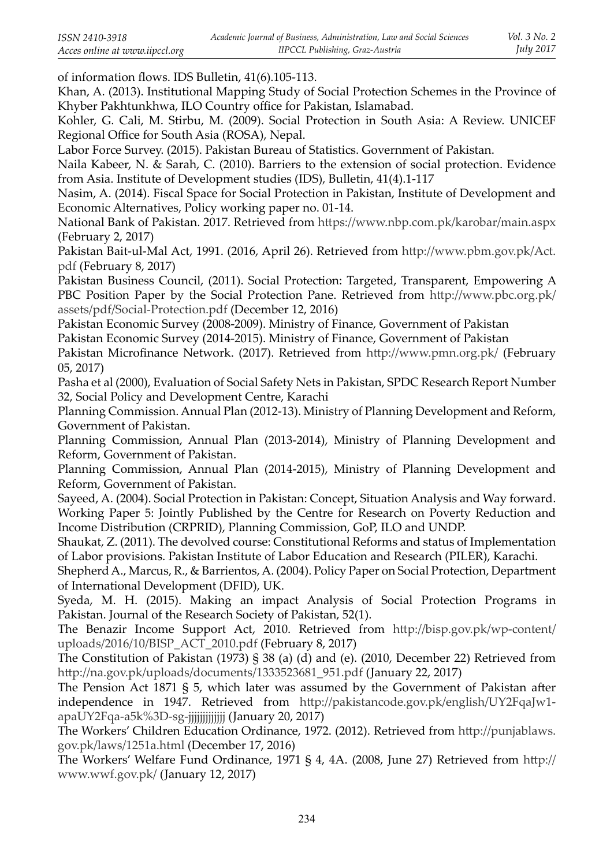of information flows. IDS Bulletin, 41(6).105-113.

Khan, A. (2013). Institutional Mapping Study of Social Protection Schemes in the Province of Khyber Pakhtunkhwa, ILO Country office for Pakistan, Islamabad.

Kohler, G. Cali, M. Stirbu, M. (2009). Social Protection in South Asia: A Review. UNICEF Regional Office for South Asia (ROSA), Nepal.

Labor Force Survey. (2015). Pakistan Bureau of Statistics. Government of Pakistan.

Naila Kabeer, N. & Sarah, C. (2010). Barriers to the extension of social protection. Evidence from Asia. Institute of Development studies (IDS), Bulletin, 41(4).1-117

Nasim, A. (2014). Fiscal Space for Social Protection in Pakistan, Institute of Development and Economic Alternatives, Policy working paper no. 01-14.

National Bank of Pakistan. 2017. Retrieved from https://www.nbp.com.pk/karobar/main.aspx (February 2, 2017)

Pakistan Bait-ul-Mal Act, 1991. (2016, April 26). Retrieved from http://www.pbm.gov.pk/Act. pdf (February 8, 2017)

Pakistan Business Council, (2011). Social Protection: Targeted, Transparent, Empowering A PBC Position Paper by the Social Protection Pane. Retrieved from http://www.pbc.org.pk/ assets/pdf/Social-Protection.pdf (December 12, 2016)

Pakistan Economic Survey (2008-2009). Ministry of Finance, Government of Pakistan Pakistan Economic Survey (2014-2015). Ministry of Finance, Government of Pakistan Pakistan Microfinance Network. (2017). Retrieved from http://www.pmn.org.pk/ (February

05, 2017)

Pasha et al (2000), Evaluation of Social Safety Nets in Pakistan, SPDC Research Report Number 32, Social Policy and Development Centre, Karachi

Planning Commission. Annual Plan (2012-13). Ministry of Planning Development and Reform, Government of Pakistan.

Planning Commission, Annual Plan (2013-2014), Ministry of Planning Development and Reform, Government of Pakistan.

Planning Commission, Annual Plan (2014-2015), Ministry of Planning Development and Reform, Government of Pakistan.

Sayeed, A. (2004). Social Protection in Pakistan: Concept, Situation Analysis and Way forward. Working Paper 5: Jointly Published by the Centre for Research on Poverty Reduction and Income Distribution (CRPRID), Planning Commission, GoP, ILO and UNDP.

Shaukat, Z. (2011). The devolved course: Constitutional Reforms and status of Implementation of Labor provisions. Pakistan Institute of Labor Education and Research (PILER), Karachi.

Shepherd A., Marcus, R., & Barrientos, A. (2004). Policy Paper on Social Protection, Department of International Development (DFID), UK.

Syeda, M. H. (2015). Making an impact Analysis of Social Protection Programs in Pakistan. Journal of the Research Society of Pakistan, 52(1).

The Benazir Income Support Act, 2010. Retrieved from http://bisp.gov.pk/wp-content/ uploads/2016/10/BISP\_ACT\_2010.pdf (February 8, 2017)

The Constitution of Pakistan (1973) § 38 (a) (d) and (e). (2010, December 22) Retrieved from http://na.gov.pk/uploads/documents/1333523681\_951.pdf (January 22, 2017)

The Pension Act 1871  $\S$  5, which later was assumed by the Government of Pakistan after independence in 1947. Retrieved from http://pakistancode.gov.pk/english/UY2FqaJw1apaUY2Fqa-a5k%3D-sg-jjjjjjjjjjjjj (January 20, 2017)

The Workers' Children Education Ordinance, 1972. (2012). Retrieved from http://punjablaws. gov.pk/laws/1251a.html (December 17, 2016)

The Workers' Welfare Fund Ordinance, 1971 § 4, 4A. (2008, June 27) Retrieved from http:// www.wwf.gov.pk/ (January 12, 2017)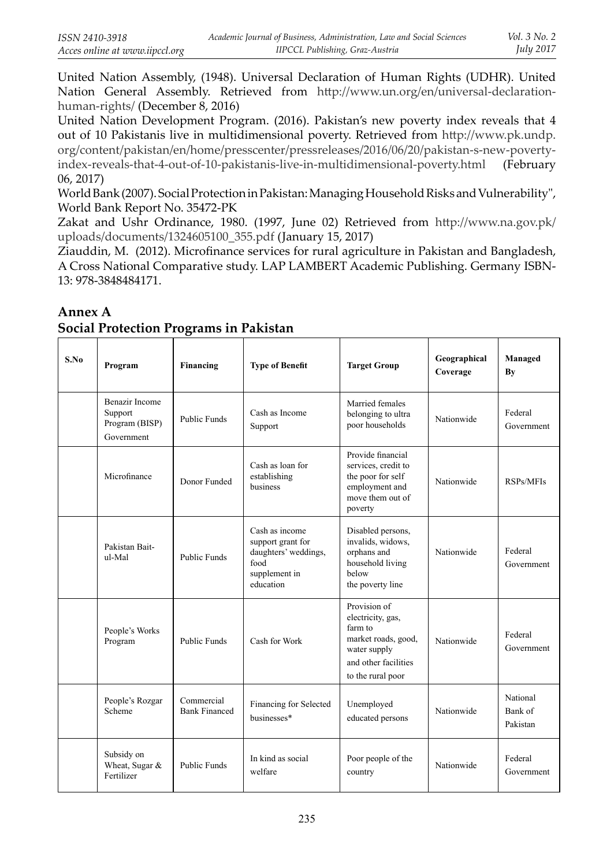United Nation Assembly, (1948). Universal Declaration of Human Rights (UDHR). United Nation General Assembly. Retrieved from http://www.un.org/en/universal-declarationhuman-rights/ (December 8, 2016)

United Nation Development Program. (2016). Pakistan's new poverty index reveals that 4 out of 10 Pakistanis live in multidimensional poverty. Retrieved from http://www.pk.undp. org/content/pakistan/en/home/presscenter/pressreleases/2016/06/20/pakistan-s-new-povertyindex-reveals-that-4-out-of-10-pakistanis-live-in-multidimensional-poverty.html (February 06, 2017)

World Bank (2007). Social Protection in Pakistan: Managing Household Risks and Vulnerability", World Bank Report No. 35472-PK

Zakat and Ushr Ordinance, 1980. (1997, June 02) Retrieved from http://www.na.gov.pk/ uploads/documents/1324605100\_355.pdf (January 15, 2017)

Ziauddin, M. (2012). Microfinance services for rural agriculture in Pakistan and Bangladesh, A Cross National Comparative study. LAP LAMBERT Academic Publishing. Germany ISBN-13: 978-3848484171.

| S.No | Program                                                          | Financing                          | <b>Type of Benefit</b>                                                                            | <b>Target Group</b>                                                                                                              | Geographical<br>Coverage | Managed<br>By                   |
|------|------------------------------------------------------------------|------------------------------------|---------------------------------------------------------------------------------------------------|----------------------------------------------------------------------------------------------------------------------------------|--------------------------|---------------------------------|
|      | <b>Benazir Income</b><br>Support<br>Program (BISP)<br>Government | Public Funds                       | Cash as Income<br>Support                                                                         | Married females<br>belonging to ultra<br>poor households                                                                         | Nationwide               | Federal<br>Government           |
|      | Microfinance                                                     | Donor Funded                       | Cash as loan for<br>establishing<br>business                                                      | Provide financial<br>services, credit to<br>the poor for self<br>employment and<br>move them out of<br>poverty                   | Nationwide               | RSPs/MFIs                       |
|      | Pakistan Bait-<br>ul-Mal                                         | <b>Public Funds</b>                | Cash as income<br>support grant for<br>daughters' weddings,<br>food<br>supplement in<br>education | Disabled persons.<br>invalids, widows,<br>orphans and<br>household living<br>below<br>the poverty line                           | Nationwide               | Federal<br>Government           |
|      | People's Works<br>Program                                        | <b>Public Funds</b>                | Cash for Work                                                                                     | Provision of<br>electricity, gas,<br>farm to<br>market roads, good,<br>water supply<br>and other facilities<br>to the rural poor | Nationwide               | Federal<br>Government           |
|      | People's Rozgar<br>Scheme                                        | Commercial<br><b>Bank Financed</b> | Financing for Selected<br>businesses*                                                             | Unemployed<br>educated persons                                                                                                   | Nationwide               | National<br>Bank of<br>Pakistan |
|      | Subsidy on<br>Wheat, Sugar &<br>Fertilizer                       | <b>Public Funds</b>                | In kind as social<br>welfare                                                                      | Poor people of the<br>country                                                                                                    | Nationwide               | Federal<br>Government           |

**Annex A Social Protection Programs in Pakistan**